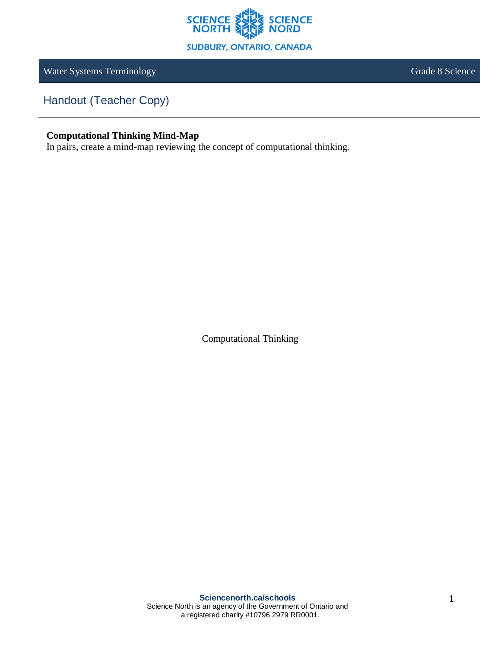

Water Systems Terminology **Grade 8 Science** Grade 8 Science

Handout (Teacher Copy)

## **Computational Thinking Mind-Map**

In pairs, create a mind-map reviewing the concept of computational thinking.

Computational Thinking